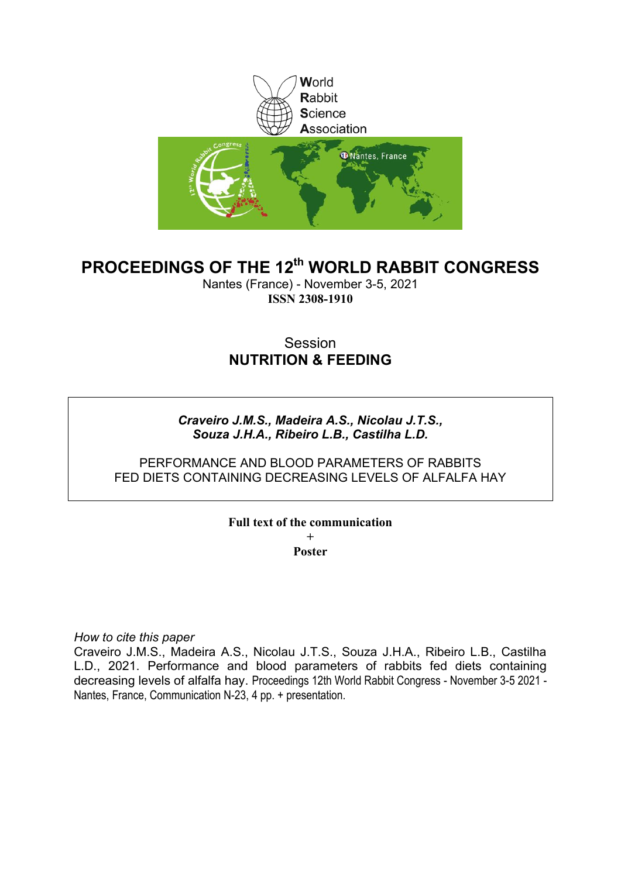

# **PROCEEDINGS OF THE 12th WORLD RABBIT CONGRESS**

Nantes (France) - November 3-5, 2021 **ISSN 2308-1910**

## Session **NUTRITION & FEEDING**

### *Craveiro J.M.S., Madeira A.S., Nicolau J.T.S., Souza J.H.A., Ribeiro L.B., Castilha L.D.*

### PERFORMANCE AND BLOOD PARAMETERS OF RABBITS FED DIETS CONTAINING DECREASING LEVELS OF ALFALFA HAY

#### **Full text of the communication + Poster**

*How to cite this paper*

Craveiro J.M.S., Madeira A.S., Nicolau J.T.S., Souza J.H.A., Ribeiro L.B., Castilha L.D., 2021. Performance and blood parameters of rabbits fed diets containing decreasing levels of alfalfa hay. Proceedings 12th World Rabbit Congress - November 3-5 2021 - Nantes, France, Communication N-23, 4 pp. + presentation.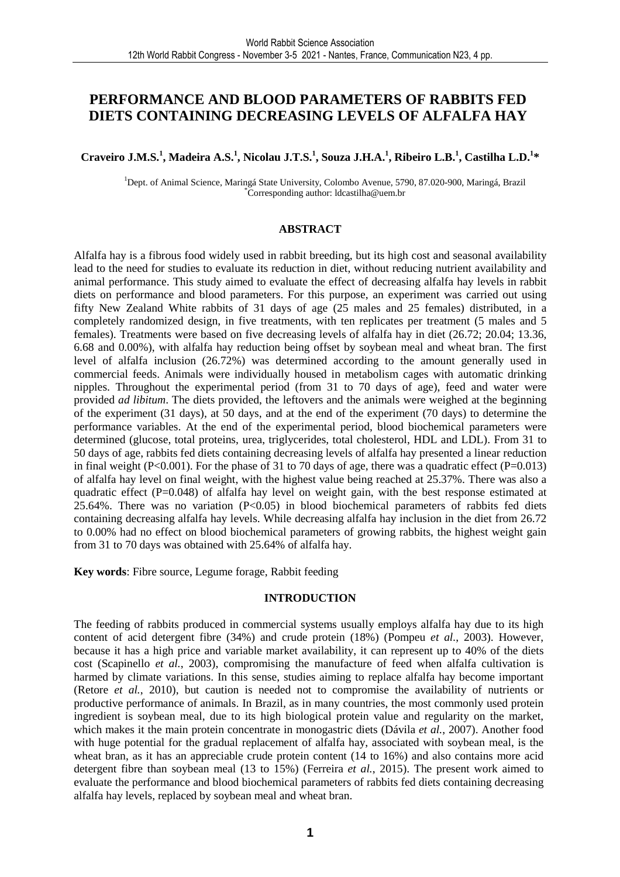### **PERFORMANCE AND BLOOD PARAMETERS OF RABBITS FED DIETS CONTAINING DECREASING LEVELS OF ALFALFA HAY**

#### **Craveiro J.M.S.<sup>1</sup> , Madeira A.S.<sup>1</sup> , Nicolau J.T.S.<sup>1</sup> , Souza J.H.A.<sup>1</sup> , Ribeiro L.B.<sup>1</sup> , Castilha L.D.<sup>1</sup> \***

<sup>1</sup>Dept. of Animal Science, Maringá State University, Colombo Avenue, 5790, 87.020-900, Maringá, Brazil \*Corresponding author: ldcastilha@uem.br

#### **ABSTRACT**

Alfalfa hay is a fibrous food widely used in rabbit breeding, but its high cost and seasonal availability lead to the need for studies to evaluate its reduction in diet, without reducing nutrient availability and animal performance. This study aimed to evaluate the effect of decreasing alfalfa hay levels in rabbit diets on performance and blood parameters. For this purpose, an experiment was carried out using fifty New Zealand White rabbits of 31 days of age (25 males and 25 females) distributed, in a completely randomized design, in five treatments, with ten replicates per treatment (5 males and 5 females). Treatments were based on five decreasing levels of alfalfa hay in diet (26.72; 20.04; 13.36, 6.68 and 0.00%), with alfalfa hay reduction being offset by soybean meal and wheat bran. The first level of alfalfa inclusion (26.72%) was determined according to the amount generally used in commercial feeds. Animals were individually housed in metabolism cages with automatic drinking nipples. Throughout the experimental period (from 31 to 70 days of age), feed and water were provided *ad libitum*. The diets provided, the leftovers and the animals were weighed at the beginning of the experiment (31 days), at 50 days, and at the end of the experiment (70 days) to determine the performance variables. At the end of the experimental period, blood biochemical parameters were determined (glucose, total proteins, urea, triglycerides, total cholesterol, HDL and LDL). From 31 to 50 days of age, rabbits fed diets containing decreasing levels of alfalfa hay presented a linear reduction in final weight (P<0.001). For the phase of 31 to 70 days of age, there was a quadratic effect (P=0.013) of alfalfa hay level on final weight, with the highest value being reached at 25.37%. There was also a quadratic effect (P=0.048) of alfalfa hay level on weight gain, with the best response estimated at  $25.64\%$ . There was no variation (P<0.05) in blood biochemical parameters of rabbits fed diets containing decreasing alfalfa hay levels. While decreasing alfalfa hay inclusion in the diet from 26.72 to 0.00% had no effect on blood biochemical parameters of growing rabbits, the highest weight gain from 31 to 70 days was obtained with 25.64% of alfalfa hay.

**Key words**: Fibre source, Legume forage, Rabbit feeding

#### **INTRODUCTION**

The feeding of rabbits produced in commercial systems usually employs alfalfa hay due to its high content of acid detergent fibre (34%) and crude protein (18%) (Pompeu *et al.*, 2003). However, because it has a high price and variable market availability, it can represent up to 40% of the diets cost (Scapinello *et al.*, 2003), compromising the manufacture of feed when alfalfa cultivation is harmed by climate variations. In this sense, studies aiming to replace alfalfa hay become important (Retore *et al.*, 2010), but caution is needed not to compromise the availability of nutrients or productive performance of animals. In Brazil, as in many countries, the most commonly used protein ingredient is soybean meal, due to its high biological protein value and regularity on the market, which makes it the main protein concentrate in monogastric diets (Dávila *et al.*, 2007). Another food with huge potential for the gradual replacement of alfalfa hay, associated with soybean meal, is the wheat bran, as it has an appreciable crude protein content (14 to 16%) and also contains more acid detergent fibre than soybean meal (13 to 15%) (Ferreira *et al.*, 2015). The present work aimed to evaluate the performance and blood biochemical parameters of rabbits fed diets containing decreasing alfalfa hay levels, replaced by soybean meal and wheat bran.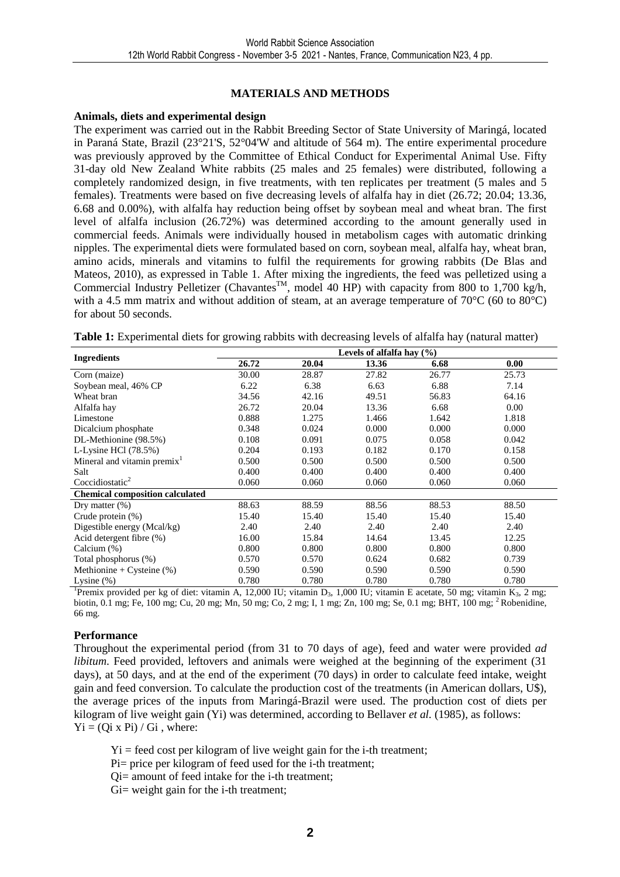#### **MATERIALS AND METHODS**

#### **Animals, diets and experimental design**

The experiment was carried out in the Rabbit Breeding Sector of State University of Maringá, located in Paraná State, Brazil (23°21'S, 52°04'W and altitude of 564 m). The entire experimental procedure was previously approved by the Committee of Ethical Conduct for Experimental Animal Use. Fifty 31-day old New Zealand White rabbits (25 males and 25 females) were distributed, following a completely randomized design, in five treatments, with ten replicates per treatment (5 males and 5 females). Treatments were based on five decreasing levels of alfalfa hay in diet (26.72; 20.04; 13.36, 6.68 and 0.00%), with alfalfa hay reduction being offset by soybean meal and wheat bran. The first level of alfalfa inclusion (26.72%) was determined according to the amount generally used in commercial feeds. Animals were individually housed in metabolism cages with automatic drinking nipples. The experimental diets were formulated based on corn, soybean meal, alfalfa hay, wheat bran, amino acids, minerals and vitamins to fulfil the requirements for growing rabbits (De Blas and Mateos, 2010), as expressed in Table 1. After mixing the ingredients, the feed was pelletized using a Commercial Industry Pelletizer (Chavantes<sup>TM</sup>, model 40 HP) with capacity from 800 to 1,700 kg/h, with a 4.5 mm matrix and without addition of steam, at an average temperature of 70°C (60 to 80°C) for about 50 seconds.

**Table 1:** Experimental diets for growing rabbits with decreasing levels of alfalfa hay (natural matter)

|                                         | Levels of alfalfa hay $(\% )$ |       |       |       |       |  |  |  |  |
|-----------------------------------------|-------------------------------|-------|-------|-------|-------|--|--|--|--|
| <b>Ingredients</b>                      | 26.72                         | 20.04 | 13.36 | 6.68  | 0.00  |  |  |  |  |
| Corn (maize)                            | 30.00                         | 28.87 | 27.82 | 26.77 | 25.73 |  |  |  |  |
| Soybean meal, 46% CP                    | 6.22                          | 6.38  | 6.63  | 6.88  | 7.14  |  |  |  |  |
| Wheat bran                              | 34.56                         | 42.16 | 49.51 | 56.83 | 64.16 |  |  |  |  |
| Alfalfa hay                             | 26.72                         | 20.04 | 13.36 | 6.68  | 0.00  |  |  |  |  |
| Limestone                               | 0.888                         | 1.275 | 1.466 | 1.642 | 1.818 |  |  |  |  |
| Dicalcium phosphate                     | 0.348                         | 0.024 | 0.000 | 0.000 | 0.000 |  |  |  |  |
| DL-Methionine (98.5%)                   | 0.108                         | 0.091 | 0.075 | 0.058 | 0.042 |  |  |  |  |
| L-Lysine HCl $(78.5\%)$                 | 0.204                         | 0.193 | 0.182 | 0.170 | 0.158 |  |  |  |  |
| Mineral and vitamin premix <sup>1</sup> | 0.500                         | 0.500 | 0.500 | 0.500 | 0.500 |  |  |  |  |
| Salt                                    | 0.400                         | 0.400 | 0.400 | 0.400 | 0.400 |  |  |  |  |
| Coccidiostatic <sup>2</sup>             | 0.060                         | 0.060 | 0.060 | 0.060 | 0.060 |  |  |  |  |
| <b>Chemical composition calculated</b>  |                               |       |       |       |       |  |  |  |  |
| Dry matter $(\%)$                       | 88.63                         | 88.59 | 88.56 | 88.53 | 88.50 |  |  |  |  |
| Crude protein (%)                       | 15.40                         | 15.40 | 15.40 | 15.40 | 15.40 |  |  |  |  |
| Digestible energy (Mcal/kg)             | 2.40                          | 2.40  | 2.40  | 2.40  | 2.40  |  |  |  |  |
| Acid detergent fibre (%)                | 16.00                         | 15.84 | 14.64 | 13.45 | 12.25 |  |  |  |  |
| Calcium (%)                             | 0.800                         | 0.800 | 0.800 | 0.800 | 0.800 |  |  |  |  |
| Total phosphorus (%)                    | 0.570                         | 0.570 | 0.624 | 0.682 | 0.739 |  |  |  |  |
| Methionine + Cysteine $(\%)$            | 0.590                         | 0.590 | 0.590 | 0.590 | 0.590 |  |  |  |  |
| Lysine $(\%)$                           | 0.780                         | 0.780 | 0.780 | 0.780 | 0.780 |  |  |  |  |

<sup>1</sup>Premix provided per kg of diet: vitamin A, 12,000 IU; vitamin D<sub>3</sub>, 1,000 IU; vitamin E acetate, 50 mg; vitamin K<sub>3</sub>, 2 mg; biotin, 0.1 mg; Fe, 100 mg; Cu, 20 mg; Mn, 50 mg; Co, 2 mg; I, 1 mg; Zn, 100 mg; Se, 0.1 mg; BHT, 100 mg; <sup>2</sup>Robenidine, 66 mg.

#### **Performance**

Throughout the experimental period (from 31 to 70 days of age), feed and water were provided *ad libitum*. Feed provided, leftovers and animals were weighed at the beginning of the experiment (31) days), at 50 days, and at the end of the experiment (70 days) in order to calculate feed intake, weight gain and feed conversion. To calculate the production cost of the treatments (in American dollars, U\$), the average prices of the inputs from Maringá-Brazil were used. The production cost of diets per kilogram of live weight gain (Yi) was determined, according to Bellaver *et al.* (1985), as follows:  $Yi = (Oi \times Pi) / Gi$ , where:

 $Y_i$  = feed cost per kilogram of live weight gain for the i-th treatment;

Pi= price per kilogram of feed used for the i-th treatment;

Qi= amount of feed intake for the i-th treatment;

Gi= weight gain for the i-th treatment;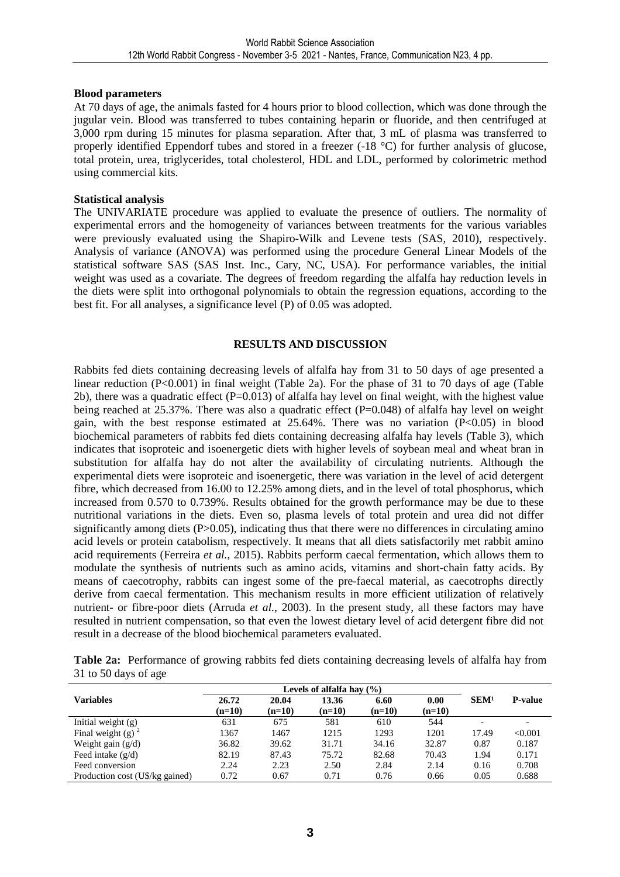#### **Blood parameters**

At 70 days of age, the animals fasted for 4 hours prior to blood collection, which was done through the jugular vein. Blood was transferred to tubes containing heparin or fluoride, and then centrifuged at 3,000 rpm during 15 minutes for plasma separation. After that, 3 mL of plasma was transferred to properly identified Eppendorf tubes and stored in a freezer (-18 °C) for further analysis of glucose, total protein, urea, triglycerides, total cholesterol, HDL and LDL, performed by colorimetric method using commercial kits.

#### **Statistical analysis**

The UNIVARIATE procedure was applied to evaluate the presence of outliers. The normality of experimental errors and the homogeneity of variances between treatments for the various variables were previously evaluated using the Shapiro-Wilk and Levene tests (SAS, 2010), respectively. Analysis of variance (ANOVA) was performed using the procedure General Linear Models of the statistical software SAS (SAS Inst. Inc., Cary, NC, USA). For performance variables, the initial weight was used as a covariate. The degrees of freedom regarding the alfalfa hay reduction levels in the diets were split into orthogonal polynomials to obtain the regression equations, according to the best fit. For all analyses, a significance level (P) of 0.05 was adopted.

#### **RESULTS AND DISCUSSION**

Rabbits fed diets containing decreasing levels of alfalfa hay from 31 to 50 days of age presented a linear reduction (P<0.001) in final weight (Table 2a). For the phase of 31 to 70 days of age (Table 2b), there was a quadratic effect ( $P=0.013$ ) of alfalfa hay level on final weight, with the highest value being reached at 25.37%. There was also a quadratic effect (P=0.048) of alfalfa hay level on weight gain, with the best response estimated at  $25.64\%$ . There was no variation (P<0.05) in blood biochemical parameters of rabbits fed diets containing decreasing alfalfa hay levels (Table 3), which indicates that isoproteic and isoenergetic diets with higher levels of soybean meal and wheat bran in substitution for alfalfa hay do not alter the availability of circulating nutrients. Although the experimental diets were isoproteic and isoenergetic, there was variation in the level of acid detergent fibre, which decreased from 16.00 to 12.25% among diets, and in the level of total phosphorus, which increased from 0.570 to 0.739%. Results obtained for the growth performance may be due to these nutritional variations in the diets. Even so, plasma levels of total protein and urea did not differ significantly among diets (P>0.05), indicating thus that there were no differences in circulating amino acid levels or protein catabolism, respectively. It means that all diets satisfactorily met rabbit amino acid requirements (Ferreira *et al.*, 2015). Rabbits perform caecal fermentation, which allows them to modulate the synthesis of nutrients such as amino acids, vitamins and short-chain fatty acids. By means of caecotrophy, rabbits can ingest some of the pre-faecal material, as caecotrophs directly derive from caecal fermentation. This mechanism results in more efficient utilization of relatively nutrient- or fibre-poor diets (Arruda *et al.*, 2003). In the present study, all these factors may have resulted in nutrient compensation, so that even the lowest dietary level of acid detergent fibre did not result in a decrease of the blood biochemical parameters evaluated.

|                      | Table 2a: Performance of growing rabbits fed diets containing decreasing levels of alfalfa hay from |  |  |  |  |  |
|----------------------|-----------------------------------------------------------------------------------------------------|--|--|--|--|--|
| 31 to 50 days of age |                                                                                                     |  |  |  |  |  |

| <b>Variables</b>                | 26.72<br>$(n=10)$ | 20.04<br>$(n=10)$ | 13.36<br>$(n=10)$ | 6.60<br>$(n=10)$ | 0.00<br>$(n=10)$ | SEM <sup>1</sup> | <b>P-value</b> |
|---------------------------------|-------------------|-------------------|-------------------|------------------|------------------|------------------|----------------|
| Initial weight $(g)$            | 631               | 675               | 581               | 610              | 544              |                  |                |
| Final weight (g) $^2$           | 1367              | 1467              | 1215              | 1293             | 1201             | 17.49            | < 0.001        |
| Weight gain $(g/d)$             | 36.82             | 39.62             | 31.71             | 34.16            | 32.87            | 0.87             | 0.187          |
| Feed intake $(g/d)$             | 82.19             | 87.43             | 75.72             | 82.68            | 70.43            | 1.94             | 0.171          |
| Feed conversion                 | 2.24              | 2.23              | 2.50              | 2.84             | 2.14             | 0.16             | 0.708          |
| Production cost (U\$/kg gained) | 0.72              | 0.67              | 0.71              | 0.76             | 0.66             | 0.05             | 0.688          |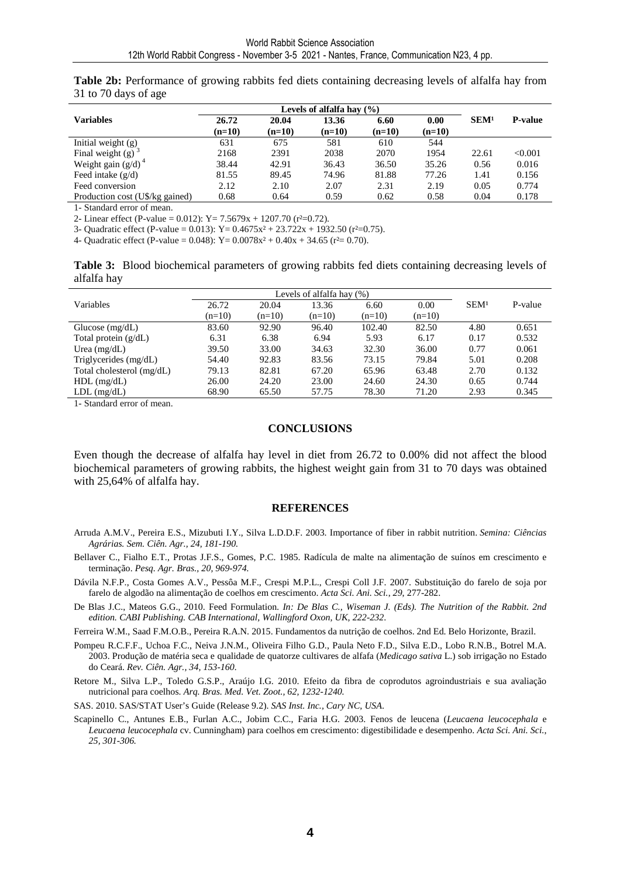| Table 2b: Performance of growing rabbits fed diets containing decreasing levels of alfalfa hay from |  |  |
|-----------------------------------------------------------------------------------------------------|--|--|
| 31 to 70 days of age                                                                                |  |  |

| <b>Variables</b>                | 26.72    | 20.04    | 13.36    | 6.60     | 0.00     | SEM <sup>1</sup> | <b>P-value</b> |
|---------------------------------|----------|----------|----------|----------|----------|------------------|----------------|
|                                 | $(n=10)$ | $(n=10)$ | $(n=10)$ | $(n=10)$ | $(n=10)$ |                  |                |
| Initial weight (g)              | 631      | 675      | 581      | 610      | 544      |                  |                |
| Final weight $(g)$ <sup>3</sup> | 2168     | 2391     | 2038     | 2070     | 1954     | 22.61            | < 0.001        |
| Weight gain $(g/d)^4$           | 38.44    | 42.91    | 36.43    | 36.50    | 35.26    | 0.56             | 0.016          |
| Feed intake $(g/d)$             | 81.55    | 89.45    | 74.96    | 81.88    | 77.26    | 1.41             | 0.156          |
| Feed conversion                 | 2.12     | 2.10     | 2.07     | 2.31     | 2.19     | 0.05             | 0.774          |
| Production cost (U\$/kg gained) | 0.68     | 0.64     | 0.59     | 0.62     | 0.58     | 0.04             | 0.178          |

1- Standard error of mean.

2- Linear effect (P-value = 0.012):  $Y = 7.5679x + 1207.70$  ( $r^2=0.72$ ).

3- Quadratic effect (P-value = 0.013):  $Y = 0.4675x^2 + 23.722x + 1932.50$  (r<sup>2</sup>=0.75).

4- Quadratic effect (P-value = 0.048):  $Y = 0.0078x^2 + 0.40x + 34.65$  ( $r^2 = 0.70$ ).

**Table 3:** Blood biochemical parameters of growing rabbits fed diets containing decreasing levels of alfalfa hay

| Variables                 | 26.72    | 20.04    | 13.36    | 6.60     | 0.00     | SEM <sup>1</sup> | P-value |
|---------------------------|----------|----------|----------|----------|----------|------------------|---------|
|                           | $(n=10)$ | $(n=10)$ | $(n=10)$ | $(n=10)$ | $(n=10)$ |                  |         |
| Glucose $(mg/dL)$         | 83.60    | 92.90    | 96.40    | 102.40   | 82.50    | 4.80             | 0.651   |
| Total protein $(g/dL)$    | 6.31     | 6.38     | 6.94     | 5.93     | 6.17     | 0.17             | 0.532   |
| Urea $(mg/dL)$            | 39.50    | 33.00    | 34.63    | 32.30    | 36.00    | 0.77             | 0.061   |
| Triglycerides (mg/dL)     | 54.40    | 92.83    | 83.56    | 73.15    | 79.84    | 5.01             | 0.208   |
| Total cholesterol (mg/dL) | 79.13    | 82.81    | 67.20    | 65.96    | 63.48    | 2.70             | 0.132   |
| $HDL$ (mg/dL)             | 26.00    | 24.20    | 23.00    | 24.60    | 24.30    | 0.65             | 0.744   |
| $LDL$ (mg/dL)             | 68.90    | 65.50    | 57.75    | 78.30    | 71.20    | 2.93             | 0.345   |

1- Standard error of mean.

#### **CONCLUSIONS**

Even though the decrease of alfalfa hay level in diet from 26.72 to 0.00% did not affect the blood biochemical parameters of growing rabbits, the highest weight gain from 31 to 70 days was obtained with 25,64% of alfalfa hay.

#### **REFERENCES**

- Arruda A.M.V., Pereira E.S., Mizubuti I.Y., Silva L.D.D.F. 2003. Importance of fiber in rabbit nutrition. *Semina: Ciências Agrárias. Sem. Ciên. Agr., 24, 181-190.*
- Bellaver C., Fialho E.T., Protas J.F.S., Gomes, P.C. 1985. Radícula de malte na alimentação de suínos em crescimento e terminação. *Pesq. Agr. Bras., 20, 969-974.*
- Dávila N.F.P., Costa Gomes A.V., Pessôa M.F., Crespi M.P.L., Crespi Coll J.F. 2007. Substituição do farelo de soja por farelo de algodão na alimentação de coelhos em crescimento. *Acta Sci. Ani. Sci.*, *29*, 277-282.
- De Blas J.C., Mateos G.G., 2010. Feed Formulation*. In: De Blas C., Wiseman J. (Eds). The Nutrition of the Rabbit. 2nd edition. CABI Publishing. CAB International, Wallingford Oxon, UK, 222-232*.
- Ferreira W.M., Saad F.M.O.B., Pereira R.A.N. 2015. Fundamentos da nutrição de coelhos. 2nd Ed. Belo Horizonte, Brazil.
- Pompeu R.C.F.F., Uchoa F.C., Neiva J.N.M., Oliveira Filho G.D., Paula Neto F.D., Silva E.D., Lobo R.N.B., Botrel M.A. 2003. Produção de matéria seca e qualidade de quatorze cultivares de alfafa (*Medicago sativa* L.) sob irrigação no Estado do Ceará. *Rev. Ciên. Agr., 34, 153-160.*
- Retore M., Silva L.P., Toledo G.S.P., Araújo I.G. 2010. Efeito da fibra de coprodutos agroindustriais e sua avaliação nutricional para coelhos. *Arq. Bras. Med. Vet. Zoot., 62, 1232-1240.*

SAS. 2010. SAS/STAT User's Guide (Release 9.2). *SAS Inst. Inc., Cary NC, USA*.

Scapinello C., Antunes E.B., Furlan A.C., Jobim C.C., Faria H.G. 2003. Fenos de leucena (*Leucaena leucocephala* e *Leucaena leucocephala* cv. Cunningham) para coelhos em crescimento: digestibilidade e desempenho. *Acta Sci. Ani. Sci.*, *25, 301-306.*